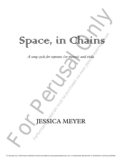## Ohains® Space, in Chains Performance (or messac) and via water<br>
Performance (or messac) and via water<br>
Performance of the purchase of the purchase of the purchase of the purchase of the purchase of the purchase of the purchase of the purchase of t

*A song cycle for soprano (or mezzo) and viola*

# A song cycle for soprano (or messao) and r<br>
<br>
FRSSICA MEYER JESSICA MEYER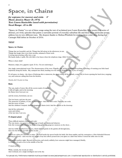## Space, in Chains

#### *for soprano (or mezzo) and viola 8' Music: Jessica Meyer (b. 1974) Text: Laura Kasischke (used with permission) Vocal Range: A3 to B6*

Space of the control of the control only in the control of the control of the control of the control of the control of the control of the control of the control of the control of the control of the control of the control "Space, in Chains" is a set of three songs using the text of acclaimed poet Laura Kasischke. Her poetry is a series of abstract, yet vivid, episodes that paints a surrealist portrait of everyday suburban life and these three particular poems address loss in very different ways. My deepest thanks to Melissa Wimbish for making these come alive during her Carnegie Hall debut in October of 2016. For the same of the same of the same of the same of the same of the purchase of the purchase of the purchase of the purchase of the purchase of the purchase of the purchase of the purchase of the purchase of the purchase

#### **TEXT**

#### **Space, in Chains**

Things that are beautiful, and die. Things that fall asleep in the afternoon, in sun. Things that laugh, then cover their mouths, ashamed of their teeth. A strong man pouring coffee into a cup. His hands shake, it spills. His wife falls to her knees when the telephone rings. *Hello? Goddammit, hello?* 

Where is their child?

Hamster, tulips, love, gigantic squid. *To live.* I'm not endorsing it.

Any single, transcriptional event. The chromosomes of the roses. Flagella, cilia, all the filaments of touching, of feeling, of running your little hand hopelessly along the bricks. Sky, stamped into flesh, bending over the sink to drink the *tour de force* of water.

It's all space, in chains—the chaos of birdsong after a rainstorm, the steam rising off the asphalt, a small boy in boots opening the back door, stepping out, and someone calling him from the kitchen,

*Sweetie, don't be gone too long.* 

#### **Rain**

The sun, made of water, like all the secrets made of tongues it falls all night, and in the morning the flames have been put out

and the stones, bewitched, can see:

The lost hours, and into the past. The memories of infants, of cats, of other stones—that they have souls. That they are souls. And the terror of foxes. And the children's hospital. And the hangman's alarm clock. And the official on the doorstep.

 And all the embezzled cents and dollars of the last time I saw you.

#### **O elegant giant**

These difficult matters of grace and scale: The way music, our savior, is the marriage of math and antisocial behavior. Like this woman with a bucket in the morning gathering gorgeous oxymora on the shore…

And my wildly troubled love for you, which labored gently in the garden all through June, then tore the flowers up with its fists in July.

Which set a place for you next to mine—the fork beside the spoon beside the knife (the linen napkin, and the centerpiece: a blue beheaded blossom floating in a bowl)—and even the red weight of my best efforts poured into your glass as a dark wine before I tossed the table onto its side.

Just another perfect night. Beyond destruction, and utterly unlikely, how someone might have managed, blindly, to stumble on such a love in the middle of her life.

#### *O elegant giant.*

While, outside, the woods are silent. And overhead, not a single intelligent star in the sky.

For perusal only. Performance materials must be purchased via www.jessicameyermusic.com. Unauthorized reproduction or distribution is strictly prohibited.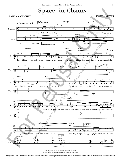## Space, in Chains

#### LAURA KASISCHKE

#### JESSICA MEYER



Text © 2011 by Laura Kasischke. Used with permission. ©2016 JMM Publishing (BMI). All rights reserved.

For perusal only. Performance materials must be purchased via www.jessicameyermusic.com. Unauthorized reproduction or distribution is strictly prohibited.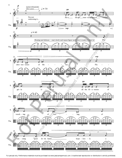

For perusal only. Performance materials must be purchased via www.jessicameyermusic.com. Unauthorized reproduction or distribution is strictly prohibited.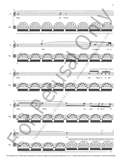

For perusal only. Performance materials must be purchased via www.jessicameyermusic.com. Unauthorized reproduction or distribution is strictly prohibited.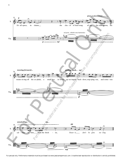

For perusal only. Performance materials must be purchased via www.jessicameyermusic.com. Unauthorized reproduction or distribution is strictly prohibited.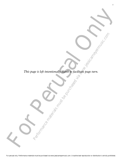This page is left imamionally bear to facilitate the partial of the current *This page is left intentionally blank to facilitate page turn.* Reference materials must be purchased via which was a continuate page turn.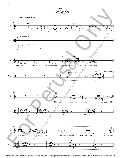

For perusal only. Performance materials must be purchased via www.jessicameyermusic.com. Unauthorized reproduction or distribution is strictly prohibited.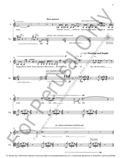

For perusal only. Performance materials must be purchased via www.jessicameyermusic.com. Unauthorized reproduction or distribution is strictly prohibited.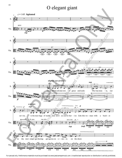### O elegant giant



For perusal only. Performance materials must be purchased via www.jessicameyermusic.com. Unauthorized reproduction or distribution is strictly prohibited.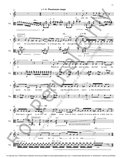

For perusal only. Performance materials must be purchased via www.jessicameyermusic.com. Unauthorized reproduction or distribution is strictly prohibited.